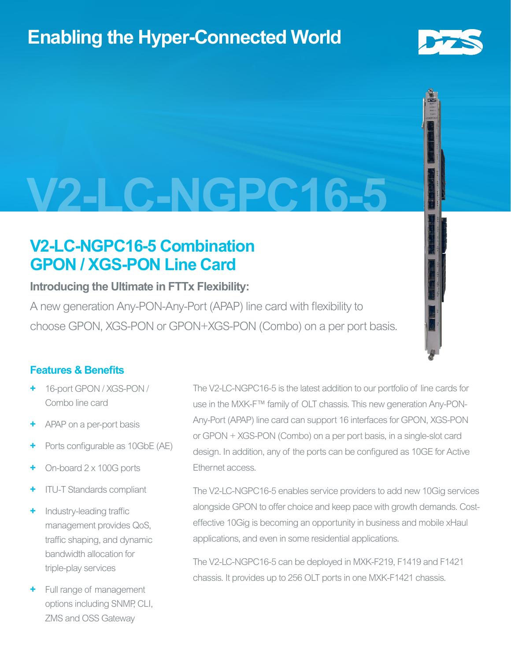# **Enabling the Hyper-Connected World**



# **V2-LC-NGPC16-5**

## **V2-LC-NGPC16-5 Combination GPON / XGS-PON Line Card**

## **Introducing the Ultimate in FTTx Flexibility:**

A new generation Any-PON-Any-Port (APAP) line card with flexibility to choose GPON, XGS-PON or GPON+XGS-PON (Combo) on a per port basis.

## **Features & Benefits**

- **+** 16-port GPON / XGS-PON / Combo line card
- **+** APAP on a per-port basis
- Ports configurable as 10GbE (AE)
- **+** On-board 2 x 100G ports
- **+** ITU-T Standards compliant
- **+** Industry-leading traffic management provides QoS, traffic shaping, and dynamic bandwidth allocation for triple-play services
- **+** Full range of management options including SNMP, CLI, ZMS and OSS Gateway

The V2-LC-NGPC16-5 is the latest addition to our portfolio of line cards for use in the MXK-F™ family of OLT chassis. This new generation Any-PON-Any-Port (APAP) line card can support 16 interfaces for GPON, XGS-PON or GPON + XGS-PON (Combo) on a per port basis, in a single-slot card design. In addition, any of the ports can be configured as 10GE for Active Ethernet access.

The V2-LC-NGPC16-5 enables service providers to add new 10Gig services alongside GPON to offer choice and keep pace with growth demands. Costeffective 10Gig is becoming an opportunity in business and mobile xHaul applications, and even in some residential applications.

The V2-LC-NGPC16-5 can be deployed in MXK-F219, F1419 and F1421 chassis. It provides up to 256 OLT ports in one MXK-F1421 chassis.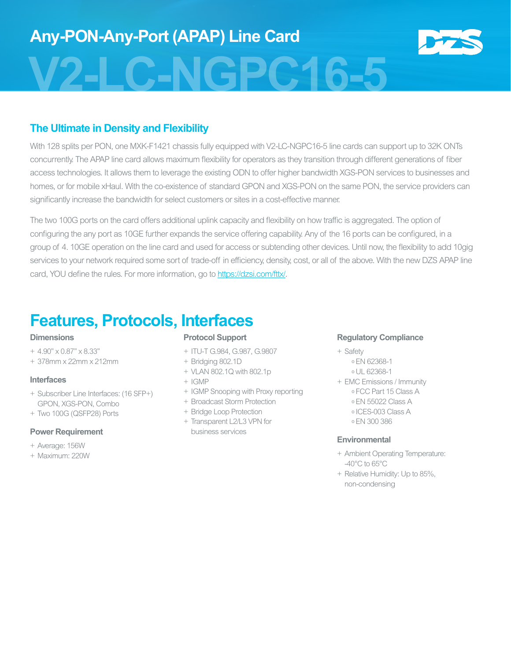### **The Ultimate in Density and Flexibility**

With 128 splits per PON, one MXK-F1421 chassis fully equipped with V2-LC-NGPC16-5 line cards can support up to 32K ONTs concurrently. The APAP line card allows maximum flexibility for operators as they transition through different generations of fiber access technologies. It allows them to leverage the existing ODN to offer higher bandwidth XGS-PON services to businesses and homes, or for mobile xHaul. With the co-existence of standard GPON and XGS-PON on the same PON, the service providers can significantly increase the bandwidth for select customers or sites in a cost-effective manner.

The two 100G ports on the card offers additional uplink capacity and flexibility on how traffic is aggregated. The option of configuring the any port as 10GE further expands the service offering capability. Any of the 16 ports can be configured, in a group of 4. 10GE operation on the line card and used for access or subtending other devices. Until now, the flexibility to add 10gig services to your network required some sort of trade-off in efficiency, density, cost, or all of the above. With the new DZS APAP line card, YOU define the rules. For more information, go to [https://dzsi.com/fttx/.](https://dzsi.com/fttx/)

# **Features, Protocols, Interfaces**

#### **Dimensions**

- + 4.90" x 0.87" x 8.33"
- + 378mm x 22mm x 212mm

#### **Interfaces**

- + Subscriber Line Interfaces: (16 SFP+) GPON, XGS-PON, Combo
- + Two 100G (QSFP28) Ports

#### **Power Requirement**

- + Average: 156W
- + Maximum: 220W

#### **Protocol Support**

- + ITU-T G.984, G.987, G.9807
- + Bridging 802.1D
- + VLAN 802.1Q with 802.1p
- + IGMP
- + IGMP Snooping with Proxy reporting
- + Broadcast Storm Protection
- + Bridge Loop Protection
- + Transparent L2/L3 VPN for business services

#### **Regulatory Compliance**

- + Safety
	- º EN 62368-1
	- º UL 62368-1
- + EMC Emissions / Immunity
	- º FCC Part 15 Class A
	- º EN 55022 Class A
	- º ICES-003 Class A
	- º EN 300 386

#### **Environmental**

- + Ambient Operating Temperature: -40°C to 65°C
- + Relative Humidity: Up to 85%, non-condensing